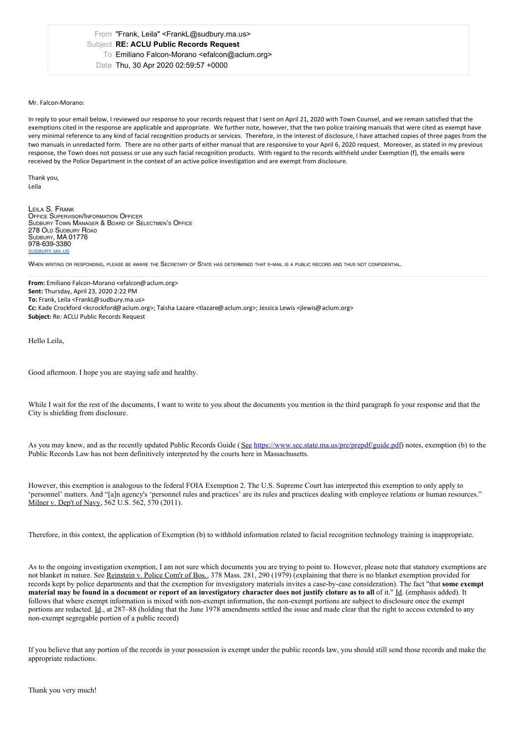Date Thu, 30 Apr 2020 02:59:57 +0000

## Mr. Falcon-Morano:

In reply to your email below, I reviewed our response to your records request that Isent on April 21, 2020 with Town Counsel, and we remain satisfied that the exemptions cited in the response are applicable and appropriate. We further note, however, that the two police training manuals that were cited as exempt have very minimal reference to any kind offacial recognition products or services. Therefore, in the interest of disclosure, I have attached copies of three pages from the two manuals in unredacted form. There are no other parts of either manual that are responsive to your April 6, 2020 request. Moreover, as stated in my previous response, the Town does not possess or use any such facial recognition products. With regard to the records withheld under Exemption (f), the emails were received by the Police Department in the context of an active police investigation and are exempt from disclosure.

Thank you, Leila

LEILA S. FRANK<br>Office Supervisor/Information Officer<br>Sudbury Town Manager & Board of Selectmen's Office<br>278 Old Sudbury Ma 01776<br>Sudbury, MA 01776 978-639-3380 [SUDBURY](https://linkprotect.cudasvc.com/url?a=https%253a%252f%252fsudbury.ma.us%252f&c=E,1,_IdFtekCihvhiIfFMjsc4YdCpMUorDGdZZMgdFfj4i6_9rDxVVU7ePwXxBXcyCwkwUZ8-VAxfTB_POoRtW-oQ3Z_dQgUCRWrFYdGnHVwXfwELtI,&typo=1).MA.US

WHEN WRITING OR RESPONDING, RIEASE BE AWARE THE SECRETARY OF STATE HAS DETERMINED THAT E-MAIL IS A RUBLIC RECORD AND THUS NOT CONFIDENTIAL

**From:** Emiliano Falcon-Morano <efalcon@aclum.org> **Sent:** Thursday, April 23, 2020 2:22 PM **To:** Frank, Leila <FrankL@sudbury.ma.us> **Cc:** Kade Crockford <kcrockford@aclum.org>; Taïsha Lazare <tlazare@aclum.org>; Jessica Lewis <jlewis@aclum.org> **Subject:** Re: ACLU Public Records Request

Hello Leila,

Good afternoon. I hope you are staying safe and healthy.

While I wait for the rest of the documents, I want to write to you about the documents you mention in the third paragraph fo your response and that the City is shielding from disclosure.

As you may know, and as the recently updated Public Records Guide (See [https://www.sec.state.ma.us/pre/prepdf/guide.pdf\)](https://linkprotect.cudasvc.com/url?a=https%253a%252f%252fwww.sec.state.ma.us%252fpre%252fprepdf%252fguide.pdf&c=E,1,p2co5a5xfzQhL3GOWKl8ERU_Q_-kiUR1PgDWi8S3laZWXtk9slLcHOhRGqr_v-lm002DhFT924tHojU2V-BRT8-MDKXgllWVFO2w4Qih&typo=1) notes, exemption (b) to the Public Records Law has not been definitively interpreted by the courts here in Massachusetts.

However, this exemption is analogous to the federal FOIA Exemption 2. The U.S. Supreme Court has interpreted this exemption to only apply to 'personnel' matters. And "[a]n agency's 'personnel rules and practices' are its rules and practices dealing with employee relations or human resources." Milner v. Dep't of Navy, 562 U.S. 562, 570 (2011).

Therefore, in this context, the application of Exemption (b) to withhold information related to facial recognition technology training is inappropriate.

As to the ongoing investigation exemption, I am not sure which documents you are trying to point to. However, please note that statutory exemptions are not blanket in nature. See Reinstein v. Police Com'r of Bos., 378 Mass. 281, 290 (1979) (explaining that there is no blanket exemption provided for records kept by police departments and that the exemption for investigatory materials invites a case-by-case consideration). The fact "that **some exempt** material may be found in a document or report of an investigatory character does not justify cloture as to all of it." Id. (emphasis added). It follows that where exempt information is mixed with non-exempt information, the non-exempt portions are subject to disclosure once the exempt portions are redacted. Id., at 287–88 (holding that the June 1978 amendments settled the issue and made clear that the right to access extended to any non-exempt segregable portion of a public record)

If you believe that any portion of the records in your possession is exempt under the public records law, you should still send those records and make the appropriate redactions.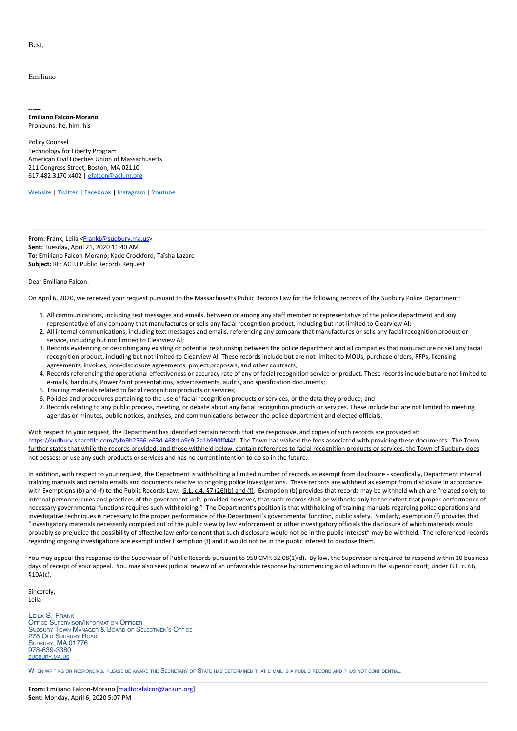Best,

## Emiliano

**------ Emiliano Falcon-Morano** Pronouns: he, him, his

Policy Counsel Technology for Liberty Program American Civil Liberties Union of Massachusetts 211 Congress Street, Boston, MA 02110 617.482.3170 x402 | [efalcon@aclum.org](mailto:efalcon@aclum.org)

[Website](https://linkprotect.cudasvc.com/url?a=http%253a%252f%252faclum.org%252f&c=E,1,vFzO0hSlFoT0_Rp9VmCmA-k0xbEvENlGQJQ9lliQzAqjAe6XKCItBxPsckMSSEJ0dOYhWCaopOKVZJm7Ygk_lyYGW5SJz0I-aB7sYh3KiA,,&typo=1) | [Twitter](https://linkprotect.cudasvc.com/url?a=http%253a%252f%252ftwitter.com%252faclu_mass&c=E,1,b_C-KhU4QWVZ8xfckI4RMRPVOzp-SZNUsxSQbRTs8BKXGcc4oSagCOvkaPIaJZpbM-3yPSPHEHkh1OU1cquZAZratGyGXzlpjsMUnAf_p1JYyZRjs8Xq&typo=1) | [Facebook](https://www.facebook.com/aclumass/) | [Instagram](https://www.instagram.com/aclu_mass/) | [Youtube](https://www.youtube.com/channel/UC14AFyqfizR4gMAMa8KlZ3A)

From: Frank, Leila <[FrankL@sudbury.ma.us](mailto:FrankL@sudbury.ma.us)> **Sent:** Tuesday, April 21, 2020 11:40 AM **To:** Emiliano Falcon-Morano; Kade Crockford; Taïsha Lazare **Subject:** RE: ACLU Public Records Request

Dear Emiliano Falcon:

On April 6, 2020, we received your request pursuant to the Massachusetts Public Records Law for the following records of the Sudbury Police Department:

- 1. All communications, including text messages and emails, between or among any staff member or representative of the police department and any representative of any company that manufactures or sells any facial recognition product, including but not limited to Clearview AI;
- 2. All internal communications, including text messages and emails, referencing any company that manufactures or sells any facial recognition product or service, including but not limited to Clearview AI;
- 3. Records evidencing or describing any existing or potential relationship between the police department and all companies that manufacture or sell any facial recognition product, including but not limited to Clearview AI. These records include but are not limited to MOUs, purchase orders, RFPs, licensing agreements, invoices, non-disclosure agreements, project proposals, and other contracts;
- 4. Records referencing the operational effectiveness or accuracy rate of any of facial recognition service or product. These records include but are not limited to e-mails, handouts, PowerPoint presentations, advertisements, audits, and specification documents;
- 5. Training materials related to facial recognition products or services;
- 6. Policies and procedures pertaining to the use of facial recognition products or services, or the data they produce; and
- 7. Records relating to any public process, meeting, or debate about any facial recognition products or services. These include but are not limited to meeting agendas or minutes, public notices, analyses, and communications between the police department and elected officials.

With respect to your request, the Department has identified certain records that are responsive, and copies of such records are provided at:<br>[https://sudbury.sharefile.com/f/fo9b2566-e63d-468d-a9c9-2a1b990f044f](https://linkprotect.cudasvc.com/url?a=https%253a%252f%252fsudbury.sharefile.com%252ff%252ffo9b2566-e63d-468d-a9c9-2a1b990f044f&c=E,1,iP4iTF-ill69j99ZYR4jmGAbkWlvf51tFMQbIa4WKYjoMv_0oU4kCiV8J05KQJoy3w3YZYl3BM5Bh7hx95Q4_8yTjFnz-MmdP3WvYI5-JDnWc8SpIwc,&typo=1). The Town ha further states that while the records provided, and those withheld below, contain references to facial recognition products or services, the Town of Sudbury does not possess or use any such products or services and has no current intention to do so in the future.

In addition, with respect to your request, the Department is withholding a limited number of records as exempt from disclosure - specifically, Department internal training manuals and certain emails and documents relative to ongoing police investigations. These records are withheld as exempt from disclosure in accordance with Exemptions (b) and (f) to the Public Records Law.  $GL. c.4$ ,  $$7 (26)(b)$  and (f). Exemption (b) provides that records may be withheld which are "related solely to internal personnel rules and practices of the government unit, provided however, that such records shall be withheld only to the extent that proper performance of necessary governmental functions requires such withholding." The Department's position is that withholding of training manuals regarding police operations and investigative techniques is necessary to the proper performance of the Department's governmental function, public safety. Similarly, exemption (f) provides that "investigatory materials necessarily compiled out of the public view bylaw enforcement or other investigatory officials the disclosure of which materials would probably so prejudice the possibility of effective law enforcement that such disclosure would not be in the public interest" may be withheld. The referenced records regarding ongoing investigations are exempt under Exemption (f) and it would not be in the public interest to disclose them.

You may appeal this response to the Supervisor of Public Records pursuant to 950 CMR 32.08(1)(d). By law, the Supervisor is required to respond within 10 business days of receipt of your appeal. You may also seek judicial review of an unfavorable response by commencing a civil action in the superior court, under G.L. c. 66, §10A(c).

Sincerely, Leila

LEILA S. FRANK<br>Office Supervisor/Information Officer<br>Sudbury Town Manager & Board of Selectmen's Office<br>278 Old Sudbury, MA 01776<br>Sudbury, MA 01776 978-639-3380 [SUDBURY](https://linkprotect.cudasvc.com/url?a=https%253a%252f%252fsudbury.ma.us%252f&c=E,1,jtVFJzcSIa3IKJ9boeABfS4sMPGPljKdjLfUiUkR1u94-sJB7ScV3y-TUBh5P1u9pyBEU5dQO0LtgZJZxEyI_Crdu345OcU3Clh1rhVo0z0,&typo=1).MA.US

WHEN WRITING OR RESPONDING, PLEASE BE AWARE THE SECRETARY OF STATE HAS DETERMINED THAT <sup>E</sup>-MAIL IS <sup>A</sup> PUBLIC RECORD AND THUS NOT CONFIDENTIAL.